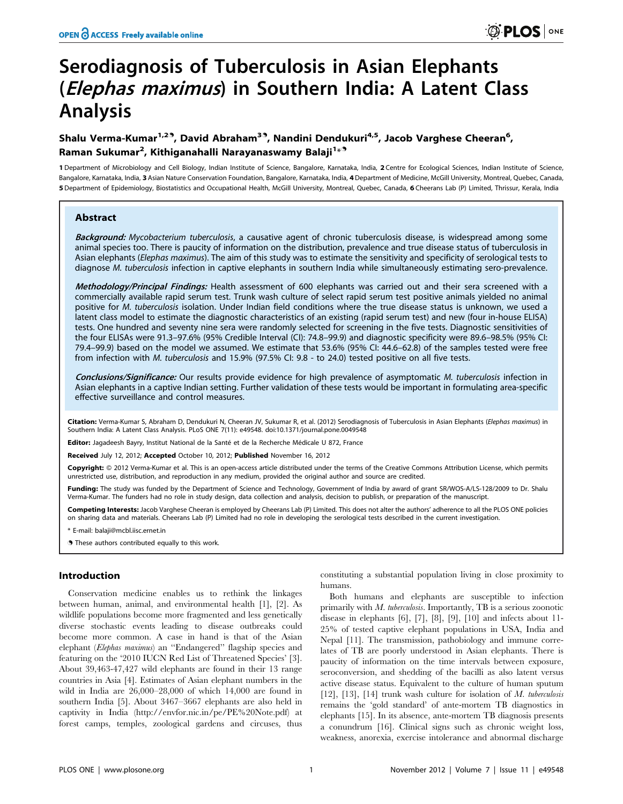# Serodiagnosis of Tuberculosis in Asian Elephants (Elephas maximus) in Southern India: A Latent Class Analysis

# Shalu Verma-Kumar<sup>1,29</sup>, David Abraham<sup>39</sup>, Nandini Dendukuri<sup>4,5</sup>, Jacob Varghese Cheeran<sup>6</sup>, Raman Sukumar<sup>2</sup>, Kithiganahalli Narayanaswamy Balaji<sup>1</sup>\*<sup>9</sup>

1 Department of Microbiology and Cell Biology, Indian Institute of Science, Bangalore, Karnataka, India, 2 Centre for Ecological Sciences, Indian Institute of Science, Bangalore, Karnataka, India, 3 Asian Nature Conservation Foundation, Bangalore, Karnataka, India, 4Department of Medicine, McGill University, Montreal, Quebec, Canada, 5 Department of Epidemiology, Biostatistics and Occupational Health, McGill University, Montreal, Quebec, Canada, 6 Cheerans Lab (P) Limited, Thrissur, Kerala, India

#### Abstract

Background: Mycobacterium tuberculosis, a causative agent of chronic tuberculosis disease, is widespread among some animal species too. There is paucity of information on the distribution, prevalence and true disease status of tuberculosis in Asian elephants (Elephas maximus). The aim of this study was to estimate the sensitivity and specificity of serological tests to diagnose M. tuberculosis infection in captive elephants in southern India while simultaneously estimating sero-prevalence.

Methodology/Principal Findings: Health assessment of 600 elephants was carried out and their sera screened with a commercially available rapid serum test. Trunk wash culture of select rapid serum test positive animals yielded no animal positive for M. tuberculosis isolation. Under Indian field conditions where the true disease status is unknown, we used a latent class model to estimate the diagnostic characteristics of an existing (rapid serum test) and new (four in-house ELISA) tests. One hundred and seventy nine sera were randomly selected for screening in the five tests. Diagnostic sensitivities of the four ELISAs were 91.3–97.6% (95% Credible Interval (CI): 74.8–99.9) and diagnostic specificity were 89.6–98.5% (95% CI: 79.4–99.9) based on the model we assumed. We estimate that 53.6% (95% CI: 44.6–62.8) of the samples tested were free from infection with M. tuberculosis and 15.9% (97.5% CI: 9.8 - to 24.0) tested positive on all five tests.

Conclusions/Significance: Our results provide evidence for high prevalence of asymptomatic M. tuberculosis infection in Asian elephants in a captive Indian setting. Further validation of these tests would be important in formulating area-specific effective surveillance and control measures.

Citation: Verma-Kumar S, Abraham D, Dendukuri N, Cheeran JV, Sukumar R, et al. (2012) Serodiagnosis of Tuberculosis in Asian Elephants (Elephas maximus) in Southern India: A Latent Class Analysis. PLoS ONE 7(11): e49548. doi:10.1371/journal.pone.0049548

Editor: Jagadeesh Bayry, Institut National de la Santé et de la Recherche Médicale U 872, France

Received July 12, 2012; Accepted October 10, 2012; Published November 16, 2012

**Copyright:** © 2012 Verma-Kumar et al. This is an open-access article distributed under the terms of the Creative Commons Attribution License, which permits unrestricted use, distribution, and reproduction in any medium, provided the original author and source are credited.

Funding: The study was funded by the Department of Science and Technology, Government of India by award of grant SR/WOS-A/LS-128/2009 to Dr. Shalu Verma-Kumar. The funders had no role in study design, data collection and analysis, decision to publish, or preparation of the manuscript.

Competing Interests: Jacob Varghese Cheeran is employed by Cheerans Lab (P) Limited. This does not alter the authors' adherence to all the PLOS ONE policies on sharing data and materials. Cheerans Lab (P) Limited had no role in developing the serological tests described in the current investigation.

mail: balaii@mcbl.iisc.ernet.ir

. These authors contributed equally to this work.

# Introduction

Conservation medicine enables us to rethink the linkages between human, animal, and environmental health [1], [2]. As wildlife populations become more fragmented and less genetically diverse stochastic events leading to disease outbreaks could become more common. A case in hand is that of the Asian elephant (Elephas maximus) an ''Endangered'' flagship species and featuring on the '2010 IUCN Red List of Threatened Species' [3]. About 39,463-47,427 wild elephants are found in their 13 range countries in Asia [4]. Estimates of Asian elephant numbers in the wild in India are 26,000–28,000 of which 14,000 are found in southern India [5]. About 3467–3667 elephants are also held in captivity in India (http://envfor.nic.in/pe/PE%20Note.pdf) at forest camps, temples, zoological gardens and circuses, thus

constituting a substantial population living in close proximity to humans.

Both humans and elephants are susceptible to infection primarily with  $M$ . tuberculosis. Importantly, TB is a serious zoonotic disease in elephants [6], [7], [8], [9], [10] and infects about 11- 25% of tested captive elephant populations in USA, India and Nepal [11]. The transmission, pathobiology and immune correlates of TB are poorly understood in Asian elephants. There is paucity of information on the time intervals between exposure, seroconversion, and shedding of the bacilli as also latent versus active disease status. Equivalent to the culture of human sputum [12], [13], [14] trunk wash culture for isolation of  $M$ . tuberculosis remains the 'gold standard' of ante-mortem TB diagnostics in elephants [15]. In its absence, ante-mortem TB diagnosis presents a conundrum [16]. Clinical signs such as chronic weight loss, weakness, anorexia, exercise intolerance and abnormal discharge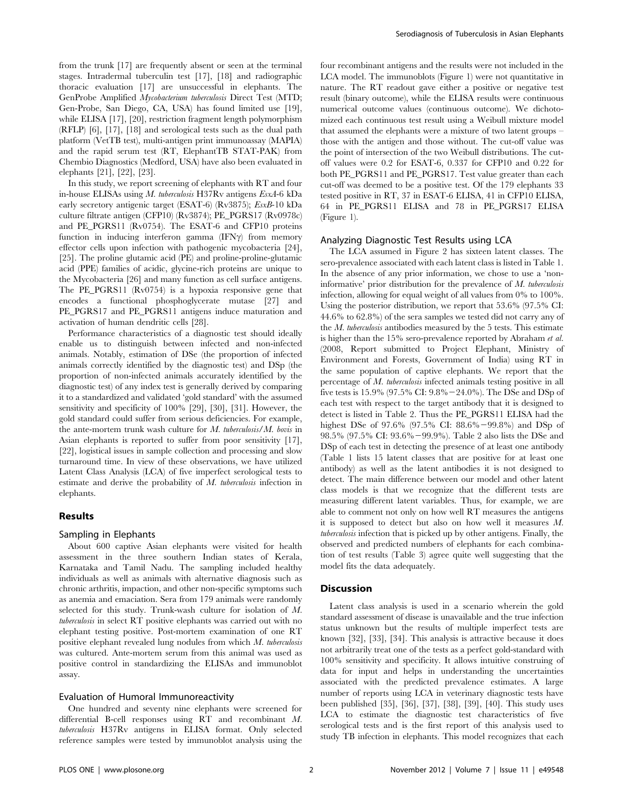from the trunk [17] are frequently absent or seen at the terminal stages. Intradermal tuberculin test [17], [18] and radiographic thoracic evaluation [17] are unsuccessful in elephants. The GenProbe Amplified Mycobacterium tuberculosis Direct Test (MTD; Gen-Probe, San Diego, CA, USA) has found limited use [19], while ELISA [17], [20], restriction fragment length polymorphism (RFLP) [6], [17], [18] and serological tests such as the dual path platform (VetTB test), multi-antigen print immunoassay (MAPIA) and the rapid serum test (RT, ElephantTB STAT-PAK) from Chembio Diagnostics (Medford, USA) have also been evaluated in elephants [21], [22], [23].

In this study, we report screening of elephants with RT and four in-house ELISAs using M. tuberculosis H37Rv antigens EsxA-6 kDa early secretory antigenic target (ESAT-6) (Rv3875); EsxB-10 kDa culture filtrate antigen (CFP10) (Rv3874); PE\_PGRS17 (Rv0978c) and PE\_PGRS11 (Rv0754). The ESAT-6 and CFP10 proteins function in inducing interferon gamma  $(IFN\gamma)$  from memory effector cells upon infection with pathogenic mycobacteria [24], [25]. The proline glutamic acid (PE) and proline-proline-glutamic acid (PPE) families of acidic, glycine-rich proteins are unique to the Mycobacteria [26] and many function as cell surface antigens. The PE\_PGRS11 (Rv0754) is a hypoxia responsive gene that encodes a functional phosphoglycerate mutase [27] and PE\_PGRS17 and PE\_PGRS11 antigens induce maturation and activation of human dendritic cells [28].

Performance characteristics of a diagnostic test should ideally enable us to distinguish between infected and non-infected animals. Notably, estimation of DSe (the proportion of infected animals correctly identified by the diagnostic test) and DSp (the proportion of non-infected animals accurately identified by the diagnostic test) of any index test is generally derived by comparing it to a standardized and validated 'gold standard' with the assumed sensitivity and specificity of 100% [29], [30], [31]. However, the gold standard could suffer from serious deficiencies. For example, the ante-mortem trunk wash culture for  $M$ . tuberculosis/ $M$ . bovis in Asian elephants is reported to suffer from poor sensitivity [17], [22], logistical issues in sample collection and processing and slow turnaround time. In view of these observations, we have utilized Latent Class Analysis (LCA) of five imperfect serological tests to estimate and derive the probability of M. tuberculosis infection in elephants.

#### Results

#### Sampling in Elephants

About 600 captive Asian elephants were visited for health assessment in the three southern Indian states of Kerala, Karnataka and Tamil Nadu. The sampling included healthy individuals as well as animals with alternative diagnosis such as chronic arthritis, impaction, and other non-specific symptoms such as anemia and emaciation. Sera from 179 animals were randomly selected for this study. Trunk-wash culture for isolation of M. tuberculosis in select RT positive elephants was carried out with no elephant testing positive. Post-mortem examination of one RT positive elephant revealed lung nodules from which M. tuberculosis was cultured. Ante-mortem serum from this animal was used as positive control in standardizing the ELISAs and immunoblot assay.

# Evaluation of Humoral Immunoreactivity

One hundred and seventy nine elephants were screened for differential B-cell responses using RT and recombinant M. tuberculosis H37Rv antigens in ELISA format. Only selected reference samples were tested by immunoblot analysis using the

four recombinant antigens and the results were not included in the LCA model. The immunoblots (Figure 1) were not quantitative in nature. The RT readout gave either a positive or negative test result (binary outcome), while the ELISA results were continuous numerical outcome values (continuous outcome). We dichotomized each continuous test result using a Weibull mixture model that assumed the elephants were a mixture of two latent groups – those with the antigen and those without. The cut-off value was the point of intersection of the two Weibull distributions. The cutoff values were 0.2 for ESAT-6, 0.337 for CFP10 and 0.22 for both PE\_PGRS11 and PE\_PGRS17. Test value greater than each cut-off was deemed to be a positive test. Of the 179 elephants 33 tested positive in RT, 37 in ESAT-6 ELISA, 41 in CFP10 ELISA, 64 in PE\_PGRS11 ELISA and 78 in PE\_PGRS17 ELISA (Figure 1).

#### Analyzing Diagnostic Test Results using LCA

The LCA assumed in Figure 2 has sixteen latent classes. The sero-prevalence associated with each latent class is listed in Table 1. In the absence of any prior information, we chose to use a 'noninformative' prior distribution for the prevalence of M. tuberculosis infection, allowing for equal weight of all values from 0% to 100%. Using the posterior distribution, we report that 53.6% (97.5% CI: 44.6% to 62.8%) of the sera samples we tested did not carry any of the  $M$ . tuberculosis antibodies measured by the 5 tests. This estimate is higher than the 15% sero-prevalence reported by Abraham et al. (2008, Report submitted to Project Elephant, Ministry of Environment and Forests, Government of India) using RT in the same population of captive elephants. We report that the percentage of M. tuberculosis infected animals testing positive in all five tests is 15.9% (97.5% CI:  $9.8\% - 24.0\%$ ). The DSe and DSp of each test with respect to the target antibody that it is designed to detect is listed in Table 2. Thus the PE\_PGRS11 ELISA had the highest DSe of 97.6% (97.5% CI:  $88.6\% - 99.8\%$ ) and DSp of 98.5% (97.5% CI: 93.6%-99.9%). Table 2 also lists the DSe and DSp of each test in detecting the presence of at least one antibody (Table 1 lists 15 latent classes that are positive for at least one antibody) as well as the latent antibodies it is not designed to detect. The main difference between our model and other latent class models is that we recognize that the different tests are measuring different latent variables. Thus, for example, we are able to comment not only on how well RT measures the antigens it is supposed to detect but also on how well it measures M. tuberculosis infection that is picked up by other antigens. Finally, the observed and predicted numbers of elephants for each combination of test results (Table 3) agree quite well suggesting that the model fits the data adequately.

#### **Discussion**

Latent class analysis is used in a scenario wherein the gold standard assessment of disease is unavailable and the true infection status unknown but the results of multiple imperfect tests are known [32], [33], [34]. This analysis is attractive because it does not arbitrarily treat one of the tests as a perfect gold-standard with 100% sensitivity and specificity. It allows intuitive construing of data for input and helps in understanding the uncertainties associated with the predicted prevalence estimates. A large number of reports using LCA in veterinary diagnostic tests have been published [35], [36], [37], [38], [39], [40]. This study uses LCA to estimate the diagnostic test characteristics of five serological tests and is the first report of this analysis used to study TB infection in elephants. This model recognizes that each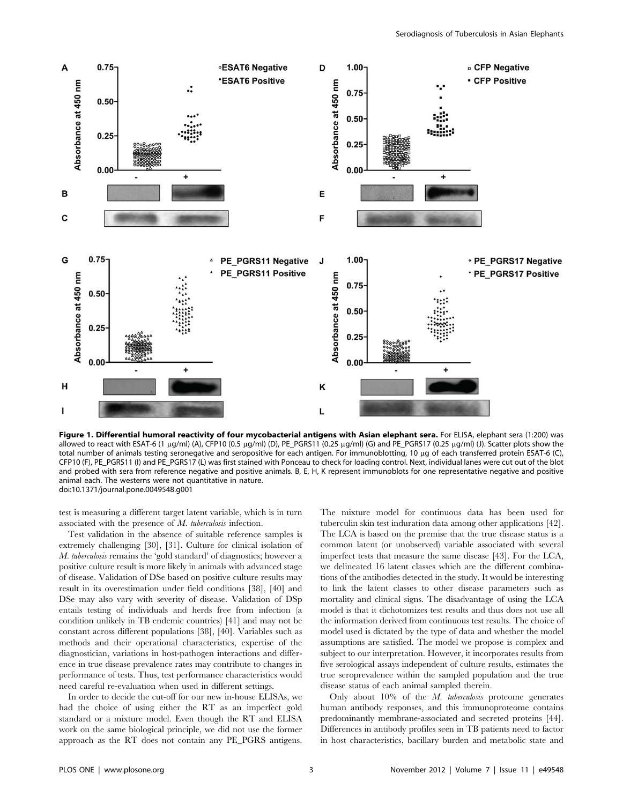

Figure 1. Differential humoral reactivity of four mycobacterial antigens with Asian elephant sera. For ELISA, elephant sera (1:200) was allowed to react with ESAT-6 (1 µg/ml) (A), CFP10 (0.5 µg/ml) (D), PE\_PGRS11 (0.25 µg/ml) (G) and PE\_PGRS17 (0.25 µg/ml) (J). Scatter plots show the total number of animals testing seronegative and seropositive for each antigen. For immunoblotting, 10 μg of each transferred protein ESAT-6 (C), CFP10 (F), PE\_PGRS11 (I) and PE\_PGRS17 (L) was first stained with Ponceau to check for loading control. Next, individual lanes were cut out of the blot and probed with sera from reference negative and positive animals. B, E, H, K represent immunoblots for one representative negative and positive animal each. The westerns were not quantitative in nature. doi:10.1371/journal.pone.0049548.g001

test is measuring a different target latent variable, which is in turn associated with the presence of M. tuberculosis infection.

Test validation in the absence of suitable reference samples is extremely challenging [30], [31]. Culture for clinical isolation of M. tuberculosis remains the 'gold standard' of diagnostics; however a positive culture result is more likely in animals with advanced stage of disease. Validation of DSe based on positive culture results may result in its overestimation under field conditions [38], [40] and DSe may also vary with severity of disease. Validation of DSp entails testing of individuals and herds free from infection (a condition unlikely in TB endemic countries) [41] and may not be constant across different populations [38], [40]. Variables such as methods and their operational characteristics, expertise of the diagnostician, variations in host-pathogen interactions and difference in true disease prevalence rates may contribute to changes in performance of tests. Thus, test performance characteristics would need careful re-evaluation when used in different settings.

In order to decide the cut-off for our new in-house ELISAs, we had the choice of using either the RT as an imperfect gold standard or a mixture model. Even though the RT and ELISA work on the same biological principle, we did not use the former approach as the RT does not contain any PE\_PGRS antigens.

The mixture model for continuous data has been used for tuberculin skin test induration data among other applications [42]. The LCA is based on the premise that the true disease status is a common latent (or unobserved) variable associated with several imperfect tests that measure the same disease [43]. For the LCA, we delineated 16 latent classes which are the different combinations of the antibodies detected in the study. It would be interesting to link the latent classes to other disease parameters such as mortality and clinical signs. The disadvantage of using the LCA model is that it dichotomizes test results and thus does not use all the information derived from continuous test results. The choice of model used is dictated by the type of data and whether the model assumptions are satisfied. The model we propose is complex and subject to our interpretation. However, it incorporates results from five serological assays independent of culture results, estimates the true seroprevalence within the sampled population and the true disease status of each animal sampled therein.

Only about  $10\%$  of the *M. tuberculosis* proteome generates human antibody responses, and this immunoproteome contains predominantly membrane-associated and secreted proteins [44]. Differences in antibody profiles seen in TB patients need to factor in host characteristics, bacillary burden and metabolic state and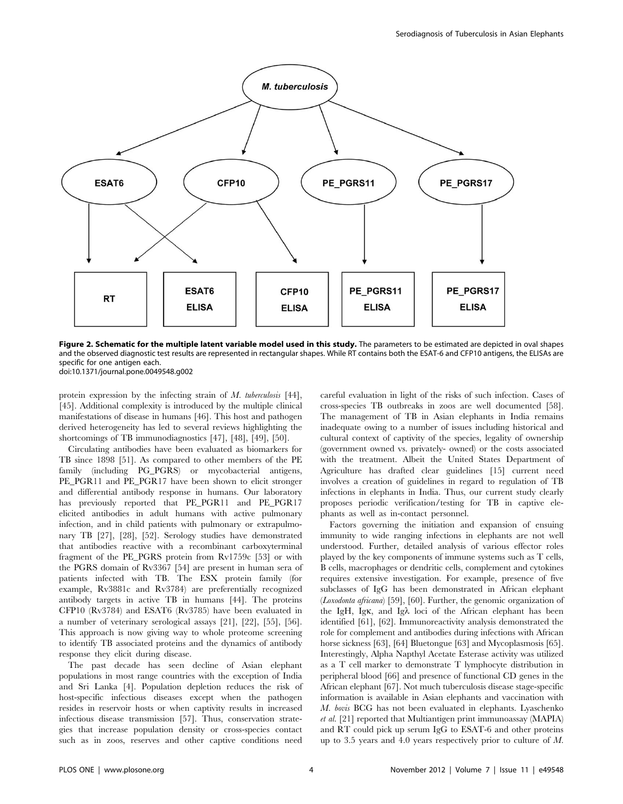

Figure 2. Schematic for the multiple latent variable model used in this study. The parameters to be estimated are depicted in oval shapes and the observed diagnostic test results are represented in rectangular shapes. While RT contains both the ESAT-6 and CFP10 antigens, the ELISAs are specific for one antigen each. doi:10.1371/journal.pone.0049548.g002

protein expression by the infecting strain of  $M$ . tuberculosis [44], [45]. Additional complexity is introduced by the multiple clinical manifestations of disease in humans [46]. This host and pathogen derived heterogeneity has led to several reviews highlighting the shortcomings of TB immunodiagnostics [47], [48], [49], [50].

Circulating antibodies have been evaluated as biomarkers for TB since 1898 [51]. As compared to other members of the PE family (including PG\_PGRS) or mycobacterial antigens, PE\_PGR11 and PE\_PGR17 have been shown to elicit stronger and differential antibody response in humans. Our laboratory has previously reported that PE\_PGR11 and PE\_PGR17 elicited antibodies in adult humans with active pulmonary infection, and in child patients with pulmonary or extrapulmonary TB [27], [28], [52]. Serology studies have demonstrated that antibodies reactive with a recombinant carboxyterminal fragment of the PE\_PGRS protein from Rv1759c [53] or with the PGRS domain of Rv3367 [54] are present in human sera of patients infected with TB. The ESX protein family (for example, Rv3881c and Rv3784) are preferentially recognized antibody targets in active TB in humans [44]. The proteins CFP10 (Rv3784) and ESAT6 (Rv3785) have been evaluated in a number of veterinary serological assays [21], [22], [55], [56]. This approach is now giving way to whole proteome screening to identify TB associated proteins and the dynamics of antibody response they elicit during disease.

The past decade has seen decline of Asian elephant populations in most range countries with the exception of India and Sri Lanka [4]. Population depletion reduces the risk of host-specific infectious diseases except when the pathogen resides in reservoir hosts or when captivity results in increased infectious disease transmission [57]. Thus, conservation strategies that increase population density or cross-species contact such as in zoos, reserves and other captive conditions need careful evaluation in light of the risks of such infection. Cases of cross-species TB outbreaks in zoos are well documented [58]. The management of TB in Asian elephants in India remains inadequate owing to a number of issues including historical and cultural context of captivity of the species, legality of ownership (government owned vs. privately- owned) or the costs associated with the treatment. Albeit the United States Department of Agriculture has drafted clear guidelines [15] current need involves a creation of guidelines in regard to regulation of TB infections in elephants in India. Thus, our current study clearly proposes periodic verification/testing for TB in captive elephants as well as in-contact personnel.

Factors governing the initiation and expansion of ensuing immunity to wide ranging infections in elephants are not well understood. Further, detailed analysis of various effector roles played by the key components of immune systems such as T cells, B cells, macrophages or dendritic cells, complement and cytokines requires extensive investigation. For example, presence of five subclasses of IgG has been demonstrated in African elephant (Loxodonta africana) [59], [60]. Further, the genomic organization of the IgH, Ig $\kappa$ , and Ig $\lambda$  loci of the African elephant has been identified [61], [62]. Immunoreactivity analysis demonstrated the role for complement and antibodies during infections with African horse sickness [63], [64] Bluetongue [63] and Mycoplasmosis [65]. Interestingly, Alpha Napthyl Acetate Esterase activity was utilized as a T cell marker to demonstrate T lymphocyte distribution in peripheral blood [66] and presence of functional CD genes in the African elephant [67]. Not much tuberculosis disease stage-specific information is available in Asian elephants and vaccination with M. bovis BCG has not been evaluated in elephants. Lyaschenko et al. [21] reported that Multiantigen print immunoassay (MAPIA) and RT could pick up serum IgG to ESAT-6 and other proteins up to 3.5 years and 4.0 years respectively prior to culture of M.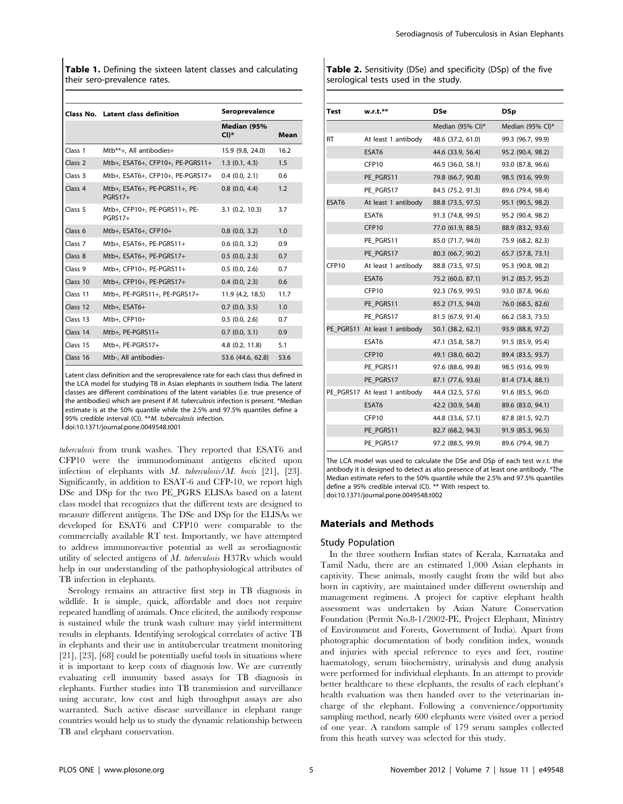Table 1. Defining the sixteen latent classes and calculating their sero-prevalence rates.

|                    | <b>Class No. Latent class definition</b>        | Seroprevalence        |      |  |
|--------------------|-------------------------------------------------|-----------------------|------|--|
|                    |                                                 | Median (95%<br>$CI)*$ | Mean |  |
| Class 1            | Mtb**+, All antibodies+                         | 15.9 (9.8, 24.0)      | 16.2 |  |
| Class <sub>2</sub> | Mtb+, ESAT6+, CFP10+, PE-PGRS11+                | 1.3(0.1, 4.3)         | 1.5  |  |
| Class 3            | Mtb+, ESAT6+, CFP10+, PE-PGRS17+                | 0.4(0.0, 2.1)         | 0.6  |  |
| Class <sub>4</sub> | Mtb+, ESAT6+, PE-PGRS11+, PE-<br><b>PGRS17+</b> | 0.8(0.0, 4.4)         | 1.2  |  |
| Class 5            | Mtb+, CFP10+, PE-PGRS11+, PE-<br><b>PGRS17+</b> | $3.1$ (0.2, 10.3)     | 3.7  |  |
| Class <sub>6</sub> | Mtb+, ESAT6+, CFP10+                            | 0.8(0.0, 3.2)         | 1.0  |  |
| Class 7            | Mtb+, ESAT6+, PE-PGRS11+                        | 0.6(0.0, 3.2)         | 0.9  |  |
| Class 8            | Mtb+, ESAT6+, PE-PGRS17+                        | 0.5(0.0, 2.3)         | 0.7  |  |
| Class <sub>9</sub> | Mtb+, CFP10+, PE-PGRS11+                        | 0.5(0.0, 2.6)         | 0.7  |  |
| Class 10           | Mtb+, CFP10+, PE-PGRS17+                        | $0.4$ $(0.0, 2.3)$    | 0.6  |  |
| Class 11           | Mtb+, PE-PGRS11+, PE-PGRS17+                    | 11.9 (4.2, 18.5)      | 11.7 |  |
| Class 12           | Mtb+, ESAT6+                                    | 0.7(0.0, 3.5)         | 1.0  |  |
| Class 13           | Mtb+, CFP10+                                    | 0.5(0.0, 2.6)         | 0.7  |  |
| Class 14           | Mtb+, $PE-PGRS11+$                              | 0.7(0.0, 3.1)         | 0.9  |  |
| Class 15           | Mtb+, PE-PGRS17+                                | 4.8 (0.2, 11.8)       | 5.1  |  |
| Class 16           | Mtb-, All antibodies-                           | 53.6 (44.6, 62.8)     | 53.6 |  |

Latent class definition and the seroprevalence rate for each class thus defined in the LCA model for studying TB in Asian elephants in southern India. The latent classes are different combinations of the latent variables (i.e. true presence of the antibodies) which are present if M. tuberculosis infection is present. \*Median estimate is at the 50% quantile while the 2.5% and 97.5% quantiles define a 95% credible interval (CI). \*\*M. tuberculosis infection.

doi:10.1371/journal.pone.0049548.t001

tuberculosis from trunk washes. They reported that ESAT6 and CFP10 were the immunodominant antigens elicited upon infection of elephants with  $M$ . tuberculosis/ $M$ . bovis [21], [23]. Significantly, in addition to ESAT-6 and CFP-10, we report high DSe and DSp for the two PE\_PGRS ELISAs based on a latent class model that recognizes that the different tests are designed to measure different antigens. The DSe and DSp for the ELISAs we developed for ESAT6 and CFP10 were comparable to the commercially available RT test. Importantly, we have attempted to address immunoreactive potential as well as serodiagnostic utility of selected antigens of M. tuberculosis H37Rv which would help in our understanding of the pathophysiological attributes of TB infection in elephants.

Serology remains an attractive first step in TB diagnosis in wildlife. It is simple, quick, affordable and does not require repeated handling of animals. Once elicited, the antibody response is sustained while the trunk wash culture may yield intermittent results in elephants. Identifying serological correlates of active TB in elephants and their use in antitubercular treatment monitoring [21], [23], [68] could be potentially useful tools in situations where it is important to keep costs of diagnosis low. We are currently evaluating cell immunity based assays for TB diagnosis in elephants. Further studies into TB transmission and surveillance using accurate, low cost and high throughput assays are also warranted. Such active disease surveillance in elephant range countries would help us to study the dynamic relationship between TB and elephant conservation.

Table 2. Sensitivity (DSe) and specificity (DSp) of the five serological tests used in the study.

| Test      | w.r.t.**                      | DSe               | <b>DSp</b>        |
|-----------|-------------------------------|-------------------|-------------------|
|           |                               | Median (95% CI)*  | Median (95% CI)*  |
| <b>RT</b> | At least 1 antibody           | 48.6 (37.2, 61.0) | 99.3 (96.7, 99.9) |
|           | ESAT6                         | 44.6 (33.9, 56.4) | 95.2 (90.4, 98.2) |
|           | CFP <sub>10</sub>             | 46.5 (36.0, 58.1) | 93.0 (87.8, 96.6) |
|           | PE PGRS11                     | 79.8 (66.7, 90.8) | 98.5 (93.6, 99.9) |
|           | PE PGRS17                     | 84.5 (75.2, 91.3) | 89.6 (79.4, 98.4) |
| ESAT6     | At least 1 antibody           | 88.8 (73.5, 97.5) | 95.1 (90.5, 98.2) |
|           | ESAT6                         | 91.3 (74.8, 99.5) | 95.2 (90.4, 98.2) |
|           | CFP10                         | 77.0 (61.9, 88.5) | 88.9 (83.2, 93.6) |
|           | PE PGRS11                     | 85.0 (71.7, 94.0) | 75.9 (68.2, 82.3) |
|           | PE PGRS17                     | 80.3 (66.7, 90.2) | 65.7 (57.8, 73.1) |
| CFP10     | At least 1 antibody           | 88.8 (73.5, 97.5) | 95.3 (90.8, 98.2) |
|           | ESAT6                         | 75.2 (60.0, 87.1) | 91.2 (85.7, 95.2) |
|           | CFP10                         | 92.3 (76.9, 99.5) | 93.0 (87.8, 96.6) |
|           | PE PGRS11                     | 85.2 (71.5, 94.0) | 76.0 (68.5, 82.6) |
|           | PE PGRS17                     | 81.5 (67.9, 91.4) | 66.2 (58.3, 73.5) |
|           | PE_PGRS11 At least 1 antibody | 50.1 (38.2, 62.1) | 93.9 (88.8, 97.2) |
|           | ESAT6                         | 47.1 (35.8, 58.7) | 91.5 (85.9, 95.4) |
|           | CFP <sub>10</sub>             | 49.1 (38.0, 60.2) | 89.4 (83.5, 93.7) |
|           | PE PGRS11                     | 97.6 (88.6, 99.8) | 98.5 (93.6, 99.9) |
|           | PE PGRS17                     | 87.1 (77.6, 93.6) | 81.4 (73.4, 88.1) |
|           | PE PGRS17 At least 1 antibody | 44.4 (32.5, 57.6) | 91.6 (85.5, 96.0) |
|           | ESAT6                         | 42.2 (30.9, 54.8) | 89.6 (83.0, 94.1) |
|           | CFP <sub>10</sub>             | 44.8 (33.6, 57.1) | 87.8 (81.5, 92.7) |
|           | PE PGRS11                     | 82.7 (68.2, 94.3) | 91.9 (85.3, 96.5) |
|           | PE PGRS17                     | 97.2 (88.5, 99.9) | 89.6 (79.4, 98.7) |

The LCA model was used to calculate the DSe and DSp of each test w.r.t. the antibody it is designed to detect as also presence of at least one antibody. \*The Median estimate refers to the 50% quantile while the 2.5% and 97.5% quantiles define a 95% credible interval (CI). \*\* With respect to. doi:10.1371/journal.pone.0049548.t002

# Materials and Methods

#### Study Population

In the three southern Indian states of Kerala, Karnataka and Tamil Nadu, there are an estimated 1,000 Asian elephants in captivity. These animals, mostly caught from the wild but also born in captivity, are maintained under different ownership and management regimens. A project for captive elephant health assessment was undertaken by Asian Nature Conservation Foundation (Permit No.8-1/2002-PE, Project Elephant, Ministry of Environment and Forests, Government of India). Apart from photographic documentation of body condition index, wounds and injuries with special reference to eyes and feet, routine haematology, serum biochemistry, urinalysis and dung analysis were performed for individual elephants. In an attempt to provide better healthcare to these elephants, the results of each elephant's health evaluation was then handed over to the veterinarian incharge of the elephant. Following a convenience/opportunity sampling method, nearly 600 elephants were visited over a period of one year. A random sample of 179 serum samples collected from this heath survey was selected for this study.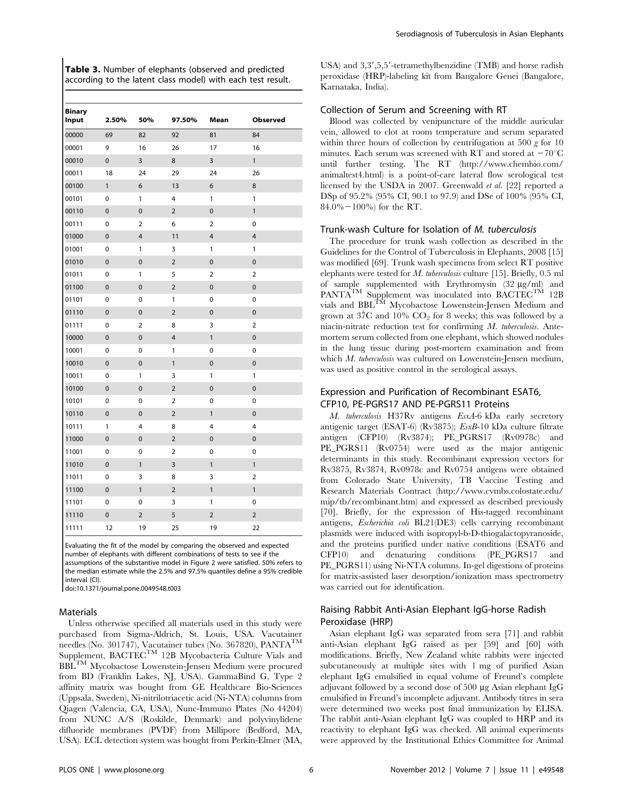Table 3. Number of elephants (observed and predicted according to the latent class model) with each test result.

| <b>Binary</b><br>Input | 2.50%          | 50%            | 97.50%         | Mean           | <b>Observed</b> |
|------------------------|----------------|----------------|----------------|----------------|-----------------|
| 00000                  | 69             | 82             | 92             | 81             | 84              |
| 00001                  | 9              | 16             | 26             | 17             | 16              |
| 00010                  | $\mathbf 0$    | 3              | 8              | 3              | 1               |
| 00011                  | 18             | 24             | 29             | 24             | 26              |
| 00100                  | 1              | 6              | 13             | 6              | 8               |
| 00101                  | 0              | 1              | 4              | 1              | 1               |
| 00110                  | $\mathbf 0$    | $\mathbf 0$    | $\overline{2}$ | $\mathbf 0$    | $\mathbf{1}$    |
| 00111                  | 0              | 2              | 6              | 2              | 0               |
| 01000                  | $\mathbf 0$    | 4              | 11             | 4              | $\overline{4}$  |
| 01001                  | 0              | 1              | 3              | 1              | 1               |
| 01010                  | $\mathbf 0$    | $\overline{0}$ | $\overline{2}$ | $\mathbf 0$    | $\mathbf 0$     |
| 01011                  | 0              | 1              | 5              | $\overline{2}$ | $\overline{2}$  |
| 01100                  | $\mathbf 0$    | $\mathbf{0}$   | $\overline{2}$ | 0              | $\mathbf 0$     |
| 01101                  | 0              | 0              | 1              | 0              | 0               |
| 01110                  | $\mathbf{0}$   | $\mathbf{0}$   | $\overline{2}$ | $\mathbf 0$    | $\mathbf 0$     |
| 01111                  | 0              | $\overline{2}$ | 8              | 3              | $\overline{2}$  |
| 10000                  | $\mathbf 0$    | $\mathbf 0$    | $\overline{4}$ | $\mathbf{1}$   | $\mathbf 0$     |
| 10001                  | 0              | 0              | 1              | $\mathbf 0$    | 0               |
| 10010                  | $\mathbf 0$    | $\mathbf 0$    | $\mathbf{1}$   | 0              | $\mathbf 0$     |
| 10011                  | 0              | 1              | 3              | 1              | 1               |
| 10100                  | $\overline{0}$ | $\mathbf 0$    | $\overline{2}$ | $\mathbf 0$    | $\mathbf 0$     |
| 10101                  | 0              | 0              | 2              | 0              | 0               |
| 10110                  | $\mathbf 0$    | $\mathbf 0$    | $\overline{2}$ | 1              | $\mathbf 0$     |
| 10111                  | 1              | 4              | 8              | 4              | 4               |
| 11000                  | $\mathbf 0$    | 0              | $\overline{2}$ | $\mathbf 0$    | $\mathbf 0$     |
| 11001                  | 0              | 0              | $\overline{2}$ | $\mathbf 0$    | 0               |
| 11010                  | $\overline{0}$ | 1              | 3              | 1              | $\mathbf{1}$    |
| 11011                  | 0              | 3              | 8              | 3              | $\overline{2}$  |
| 11100                  | $\mathbf 0$    | $\mathbf{1}$   | $\overline{2}$ | $\mathbf{1}$   | $\mathbf{1}$    |
| 11101                  | 0              | 0              | 3              | 1              | 0               |
| 11110                  | $\mathbf{0}$   | $\overline{2}$ | 5              | $\overline{2}$ | $\overline{2}$  |
| 11111                  | 12             | 19             | 25             | 19             | 22              |

Evaluating the fit of the model by comparing the observed and expected number of elephants with different combinations of tests to see if the assumptions of the substantive model in Figure 2 were satisfied. 50% refers to the median estimate while the 2.5% and 97.5% quantiles define a 95% credible interval (CI).

doi:10.1371/journal.pone.0049548.t003

#### Materials

Unless otherwise specified all materials used in this study were purchased from Sigma-Aldrich, St. Louis, USA. Vacutainer needles (No. 301747), Vacutainer tubes (No. 367820), PANTA<sup>TM</sup> Supplement, BACTEC<sup>TM</sup> 12B Mycobacteria Culture Vials and BBLTM Mycobactose Lowenstein-Jensen Medium were procured from BD (Franklin Lakes, NJ, USA). GammaBind G, Type 2 affinity matrix was bought from GE Healthcare Bio-Sciences (Uppsala, Sweden), Ni-nitrilotriacetic acid (Ni-NTA) columns from Qiagen (Valencia, CA, USA), Nunc-Immuno Plates (No 44204) from NUNC A/S (Roskilde, Denmark) and polyvinylidene difluoride membranes (PVDF) from Millipore (Bedford, MA, USA). ECL detection system was bought from Perkin-Elmer (MA,

USA) and 3,3',5,5'-tetramethylbenzidine (TMB) and horse radish peroxidase (HRP)-labeling kit from Bangalore Genei (Bangalore, Karnataka, India).

# Collection of Serum and Screening with RT

Blood was collected by venipuncture of the middle auricular vein, allowed to clot at room temperature and serum separated within three hours of collection by centrifugation at 500  $g$  for 10 minutes. Each serum was screened with RT and stored at  $-70^{\circ}$ C until further testing. The RT (http://www.chembio.com/ animaltest4.html) is a point-of-care lateral flow serological test licensed by the USDA in 2007. Greenwald et al. [22] reported a DSp of 95.2% (95% CI, 90.1 to 97.9) and DSe of 100% (95% CI, 84.0% $-100%$  for the RT.

#### Trunk-wash Culture for Isolation of M. tuberculosis

The procedure for trunk wash collection as described in the Guidelines for the Control of Tuberculosis in Elephants, 2008 [15] was modified [69]. Trunk wash specimens from select RT positive elephants were tested for M. tuberculosis culture [15]. Briefly, 0.5 ml of sample supplemented with Erythromysin  $(32 \mu g/ml)$  and PANTA<sup>TM</sup> Supplement was inoculated into BACTEC<sup>TM</sup> 12B vials and BBL<sup>TM</sup> Mycobactose Lowenstein-Jensen Medium and grown at  $37^{\circ}$ C and  $10\%$  CO<sub>2</sub> for 8 weeks; this was followed by a niacin-nitrate reduction test for confirming M. tuberculosis. Antemortem serum collected from one elephant, which showed nodules in the lung tissue during post-mortem examination and from which M. tuberculosis was cultured on Lowenstein-Jensen medium, was used as positive control in the serological assays.

# Expression and Purification of Recombinant ESAT6, CFP10, PE-PGRS17 AND PE-PGRS11 Proteins

M. tuberculosis H37Rv antigens EsxA-6 kDa early secretory antigenic target (ESAT-6) (Rv3875); EsxB-10 kDa culture filtrate antigen (CFP10) (Rv3874); PE\_PGRS17 (Rv0978c) and PE\_PGRS11 (Rv0754) were used as the major antigenic determinants in this study. Recombinant expression vectors for Rv3875, Rv3874, Rv0978c and Rv0754 antigens were obtained from Colorado State University, TB Vaccine Testing and Research Materials Contract (http://www.cvmbs.colostate.edu/ mip/tb/recombinant.htm) and expressed as described previously [70]. Briefly, for the expression of His-tagged recombinant antigens, Escherichia coli BL21(DE3) cells carrying recombinant plasmids were induced with isopropyl-b-D-thiogalactopyranoside, and the proteins purified under native conditions (ESAT6 and CFP10) and denaturing conditions (PE\_PGRS17 and PE\_PGRS11) using Ni-NTA columns. In-gel digestions of proteins for matrix-assisted laser desorption/ionization mass spectrometry was carried out for identification.

# Raising Rabbit Anti-Asian Elephant IgG-horse Radish Peroxidase (HRP)

Asian elephant IgG was separated from sera [71] and rabbit anti-Asian elephant IgG raised as per [59] and [60] with modifications. Briefly, New Zealand white rabbits were injected subcutaneously at multiple sites with 1 mg of purified Asian elephant IgG emulsified in equal volume of Freund's complete adjuvant followed by a second dose of 500 mg Asian elephant IgG emulsified in Freund's incomplete adjuvant. Antibody titres in sera were determined two weeks post final immunization by ELISA. The rabbit anti-Asian elephant IgG was coupled to HRP and its reactivity to elephant IgG was checked. All animal experiments were approved by the Institutional Ethics Committee for Animal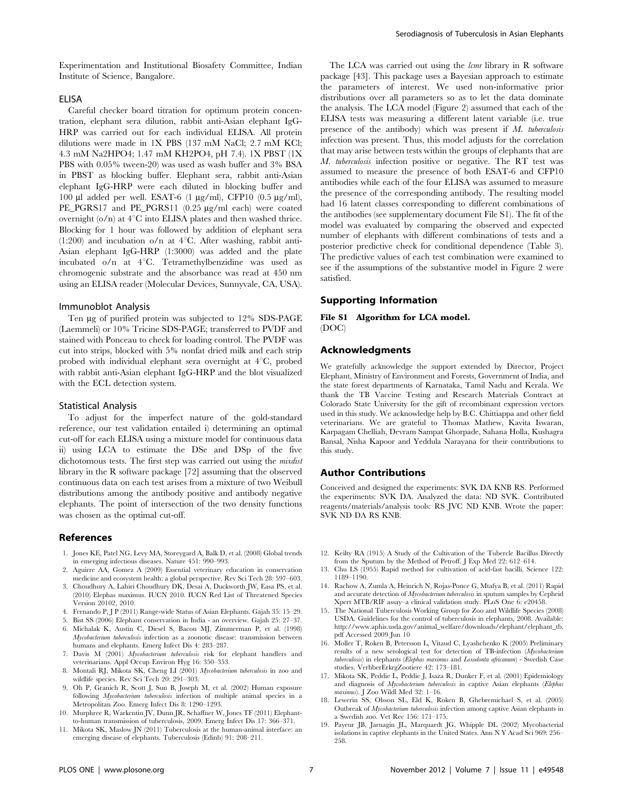Experimentation and Institutional Biosafety Committee, Indian Institute of Science, Bangalore.

# **FLISA**

Careful checker board titration for optimum protein concentration, elephant sera dilution, rabbit anti-Asian elephant IgG-HRP was carried out for each individual ELISA. All protein dilutions were made in 1X PBS (137 mM NaCl; 2.7 mM KCl; 4.3 mM Na2HPO4; 1.47 mM KH2PO4, pH 7.4). 1X PBST (1X PBS with 0.05% tween-20) was used as wash buffer and 3% BSA in PBST as blocking buffer. Elephant sera, rabbit anti-Asian elephant IgG-HRP were each diluted in blocking buffer and 100  $\mu$ l added per well. ESAT-6 (1  $\mu$ g/ml), CFP10 (0.5  $\mu$ g/ml), PE\_PGRS17 and PE\_PGRS11 (0.25 µg/ml each) were coated overnight  $(o/n)$  at  $4°C$  into ELISA plates and then washed thrice. Blocking for 1 hour was followed by addition of elephant sera  $(1:200)$  and incubation o/n at 4<sup>°</sup>C. After washing, rabbit anti-Asian elephant IgG-HRP (1:3000) was added and the plate incubated o/n at  $4^{\circ}$ C. Tetramethylbenzidine was used as chromogenic substrate and the absorbance was read at 450 nm using an ELISA reader (Molecular Devices, Sunnyvale, CA, USA).

#### Immunoblot Analysis

Ten µg of purified protein was subjected to 12% SDS-PAGE (Laemmeli) or 10% Tricine SDS-PAGE; transferred to PVDF and stained with Ponceau to check for loading control. The PVDF was cut into strips, blocked with 5% nonfat dried milk and each strip probed with individual elephant sera overnight at  $4^{\circ}C$ , probed with rabbit anti-Asian elephant IgG-HRP and the blot visualized with the ECL detection system.

#### Statistical Analysis

To adjust for the imperfect nature of the gold-standard reference, our test validation entailed i) determining an optimal cut-off for each ELISA using a mixture model for continuous data ii) using LCA to estimate the DSe and DSp of the five dichotomous tests. The first step was carried out using the *mixdist* library in the R software package [72] assuming that the observed continuous data on each test arises from a mixture of two Weibull distributions among the antibody positive and antibody negative elephants. The point of intersection of the two density functions was chosen as the optimal cut-off.

#### References

- 1. Jones KE, Patel NG, Levy MA, Storeygard A, Balk D, et al. (2008) Global trends in emerging infectious diseases. Nature 451: 990–993.
- 2. Aguirre AA, Gomez A (2009) Essential veterinary education in conservation medicine and ecosystem health: a global perspective. Rev Sci Tech 28: 597–603.
- 3. Choudhury A, Lahiri Choudhury DK, Desai A, Duckworth JW, Easa PS, et al. (2010) Elephas maximus. IUCN 2010. IUCN Red List of Threatened Species Version 20102, 2010.
- 4. Fernando P, J P (2011) Range-wide Status of Asian Elephants. Gajah 35: 15–29.
- 5. Bist SS (2006) Elephant conservation in India an overview. Gajah 25: 27–37.
- 6. Michalak K, Austin C, Diesel S, Bacon MJ, Zimmerman P, et al. (1998) Mycobacterium tuberculosis infection as a zoonotic disease: transmission between humans and elephants. Emerg Infect Dis 4: 283–287.
- 7. Davis M (2001) Mycobacterium tuberculosis risk for elephant handlers and veterinarians. Appl Occup Environ Hyg 16: 350–353.
- 8. Montali RJ, Mikota SK, Cheng LI (2001) Mycobacterium tuberculosis in zoo and wildlife species. Rev Sci Tech 20: 291–303.
- 9. Oh P, Granich R, Scott J, Sun B, Joseph M, et al. (2002) Human exposure following Mycobacterium tuberculosis infection of multiple animal species in a Metropolitan Zoo. Emerg Infect Dis 8: 1290–1293.
- 10. Murphree R, Warkentin JV, Dunn JR, Schaffner W, Jones TF (2011) Elephantto-human transmission of tuberculosis, 2009. Emerg Infect Dis 17: 366–371. 11. Mikota SK, Maslow JN (2011) Tuberculosis at the human-animal interface: an

emerging disease of elephants. Tuberculosis (Edinb) 91: 208–211.

M. tuberculosis infection positive or negative. The RT test was assumed to measure the presence of both ESAT-6 and CFP10 antibodies while each of the four ELISA was assumed to measure the presence of the corresponding antibody. The resulting model had 16 latent classes corresponding to different combinations of the antibodies (see supplementary document File S1). The fit of the model was evaluated by comparing the observed and expected number of elephants with different combinations of tests and a posterior predictive check for conditional dependence (Table 3). The predictive values of each test combination were examined to see if the assumptions of the substantive model in Figure 2 were satisfied.

The LCA was carried out using the *lcmr* library in R software package [43]. This package uses a Bayesian approach to estimate the parameters of interest. We used non-informative prior distributions over all parameters so as to let the data dominate the analysis. The LCA model (Figure 2) assumed that each of the ELISA tests was measuring a different latent variable (i.e. true presence of the antibody) which was present if M. tuberculosis infection was present. Thus, this model adjusts for the correlation that may arise between tests within the groups of elephants that are

## Supporting Information

File S1 Algorithm for LCA model. (DOC)

# Acknowledgments

We gratefully acknowledge the support extended by Director, Project Elephant, Ministry of Environment and Forests, Government of India, and the state forest departments of Karnataka, Tamil Nadu and Kerala. We thank the TB Vaccine Testing and Research Materials Contract at Colorado State University for the gift of recombinant expression vectors used in this study. We acknowledge help by B.C. Chittiappa and other field veterinarians. We are grateful to Thomas Mathew, Kavita Iswaran, Karpagam Chelliah, Devram Sampat Ghorpade, Sahana Holla, Kushagra Bansal, Nisha Kapoor and Yeddula Narayana for their contributions to this study.

#### Author Contributions

Conceived and designed the experiments: SVK DA KNB RS. Performed the experiments: SVK DA. Analyzed the data: ND SVK. Contributed reagents/materials/analysis tools: RS JVC ND KNB. Wrote the paper: SVK ND DA RS KNB.

- 12. Keilty RA (1915) A Study of the Cultivation of the Tubercle Bacillus Directly from the Sputum by the Method of Petroff. J Exp Med 22: 612–614.
- 13. Chu LS (1955) Rapid method for cultivation of acid-fast bacilli. Science 122: 1189–1190.
- 14. Rachow A, Zumla A, Heinrich N, Rojas-Ponce G, Mtafya B, et al. (2011) Rapid and accurate detection of Mycobacterium tuberculosis in sputum samples by Cepheid Xpert MTB/RIF assay–a clinical validation study. PLoS One 6: e20458.
- 15. The National Tuberculosis Working Group for Zoo and Wildlife Species (2008) USDA. Guidelines for the control of tuberculosis in elephants, 2008. Available: http://www.aphis.usda.gov/animal\_welfare/downloads/elephant/elephant\_tb. pdf Accessed 2009 Jun 10
- 16. Moller T, Roken B, Petersson L, Vitaud C, Lyashchenko K (2005) Preliminary results of a new serological test for detection of TB-infection (Mycobacterium tuberculosis) in elephants (Elephas maximus and Loxodonta africanum) - Swedish Case studies. VerhberErkrgZootiere 42: 173–181.
- 17. Mikota SK, Peddie L, Peddie J, Isaza R, Dunker F, et al. (2001) Epidemiology and diagnosis of Mycobacterium tuberculosis in captive Asian elephants (Elephas maximus). J Zoo Wildl Med 32: 1–16.
- 18. Lewerin SS, Olsson SL, Eld K, Roken B, Ghebremichael S, et al. (2005) Outbreak of Mycobacterium tuberculosis infection among captive Asian elephants in a Swedish zoo. Vet Rec 156: 171–175.
- 19. Payeur JB, Jarnagin JL, Marquardt JG, Whipple DL (2002) Mycobacterial isolations in captive elephants in the United States. Ann N Y Acad Sci 969: 256– 258.